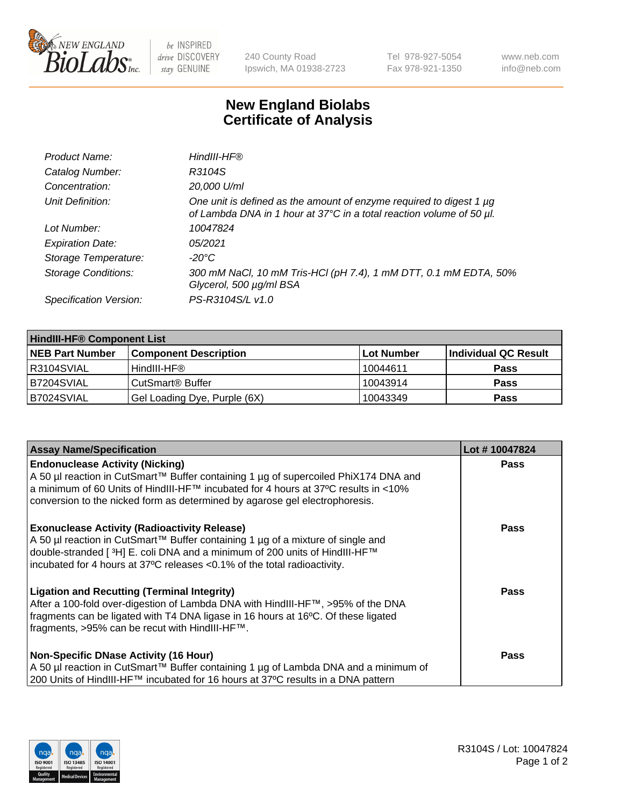

 $be$  INSPIRED drive DISCOVERY stay GENUINE

240 County Road Ipswich, MA 01938-2723 Tel 978-927-5054 Fax 978-921-1350 www.neb.com info@neb.com

## **New England Biolabs Certificate of Analysis**

| Product Name:              | HindIII-HF®                                                                                                                                 |
|----------------------------|---------------------------------------------------------------------------------------------------------------------------------------------|
| Catalog Number:            | R3104S                                                                                                                                      |
| Concentration:             | 20,000 U/ml                                                                                                                                 |
| Unit Definition:           | One unit is defined as the amount of enzyme required to digest 1 µg<br>of Lambda DNA in 1 hour at 37°C in a total reaction volume of 50 µl. |
| Lot Number:                | 10047824                                                                                                                                    |
| <b>Expiration Date:</b>    | 05/2021                                                                                                                                     |
| Storage Temperature:       | -20°C                                                                                                                                       |
| <b>Storage Conditions:</b> | 300 mM NaCl, 10 mM Tris-HCl (pH 7.4), 1 mM DTT, 0.1 mM EDTA, 50%<br>Glycerol, 500 µg/ml BSA                                                 |
| Specification Version:     | PS-R3104S/L v1.0                                                                                                                            |

| <b>HindIII-HF® Component List</b> |                              |            |                      |  |  |
|-----------------------------------|------------------------------|------------|----------------------|--|--|
| <b>NEB Part Number</b>            | <b>Component Description</b> | Lot Number | Individual QC Result |  |  |
| IR3104SVIAL                       | HindIII-HF®                  | 10044611   | <b>Pass</b>          |  |  |
| IB7204SVIAL                       | CutSmart <sup>®</sup> Buffer | 10043914   | <b>Pass</b>          |  |  |
| B7024SVIAL                        | Gel Loading Dye, Purple (6X) | 10043349   | <b>Pass</b>          |  |  |

| <b>Assay Name/Specification</b>                                                                                                                                                                                                                                                                  | Lot #10047824 |
|--------------------------------------------------------------------------------------------------------------------------------------------------------------------------------------------------------------------------------------------------------------------------------------------------|---------------|
| <b>Endonuclease Activity (Nicking)</b><br>A 50 µl reaction in CutSmart™ Buffer containing 1 µg of supercoiled PhiX174 DNA and                                                                                                                                                                    | <b>Pass</b>   |
| a minimum of 60 Units of HindIII-HF™ incubated for 4 hours at 37ºC results in <10%<br>conversion to the nicked form as determined by agarose gel electrophoresis.                                                                                                                                |               |
| <b>Exonuclease Activity (Radioactivity Release)</b><br>A 50 µl reaction in CutSmart™ Buffer containing 1 µg of a mixture of single and<br>double-stranded [3H] E. coli DNA and a minimum of 200 units of HindIII-HF™<br>incubated for 4 hours at 37°C releases <0.1% of the total radioactivity. | <b>Pass</b>   |
| <b>Ligation and Recutting (Terminal Integrity)</b><br>After a 100-fold over-digestion of Lambda DNA with HindIII-HF™, >95% of the DNA<br>fragments can be ligated with T4 DNA ligase in 16 hours at 16°C. Of these ligated<br>fragments, >95% can be recut with HindIII-HF™.                     | Pass          |
| <b>Non-Specific DNase Activity (16 Hour)</b>                                                                                                                                                                                                                                                     | <b>Pass</b>   |
| A 50 µl reaction in CutSmart™ Buffer containing 1 µg of Lambda DNA and a minimum of<br>200 Units of HindIII-HF™ incubated for 16 hours at 37°C results in a DNA pattern                                                                                                                          |               |